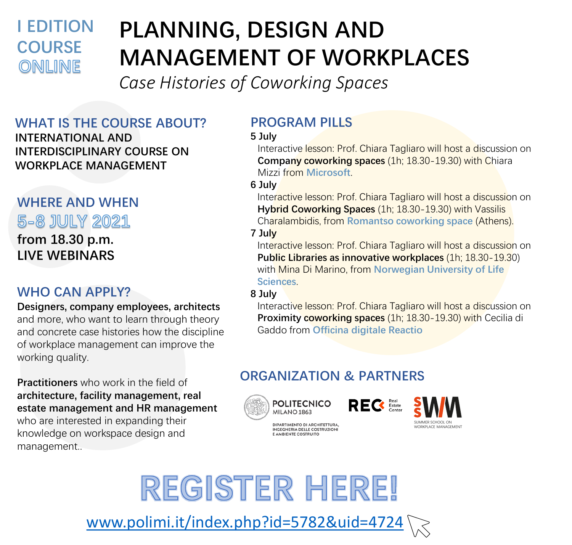## **I EDITION COURSE** ONLINE

# **PLANNING, DESIGN AND MANAGEMENT OF WORKPLACES**

*Case Histories of Coworking Spaces*

#### **WHAT IS THE COURSE ABOUT? INTERNATIONAL AND INTERDISCIPLINARY COURSE ON WORKPLACE MANAGEMENT**

## **WHERE AND WHEN** 5-8 JULY 2021

**from 18.30 p.m. LIVE WEBINARS**

### **WHO CAN APPLY?**

**Designers, company employees, architects**  and more, who want to learn through theory and concrete case histories how the discipline of workplace management can improve the working quality.

**Practitioners** who work in the field of **architecture, facility management, real estate management and HR management**  who are interested in expanding their knowledge on workspace design and management..

## **PROGRAM PILLS**

#### **5 July**

Interactive lesson: Prof. Chiara Tagliaro will host a discussion on **Company coworking spaces** (1h; 18.30-19.30) with Chiara Mizzi from **Microsoft**.

#### **6 July**

Interactive lesson: Prof. Chiara Tagliaro will host a discussion on **Hybrid Coworking Spaces** (1h; 18.30-19.30) with Vassilis Charalambidis, from **Romantso coworking space** (Athens).

#### **7 July**

Interactive lesson: Prof. Chiara Tagliaro will host a discussion on **Public Libraries as innovative workplaces** (1h; 18.30-19.30) with Mina Di Marino, from **Norwegian University of Life Sciences**.

#### **8 July**

Interactive lesson: Prof. Chiara Tagliaro will host a discussion on **Proximity coworking spaces** (1h; 18.30-19.30) with Cecilia di Gaddo from **Officina digitale Reactio**

## **ORGANIZATION & PARTNERS**

DIPARTIMENTO DI ARCHITETTURA,<br>INGEGNERIA DELLE COSTRUZIONI E AMBIENTE COSTRUITO







REGISTER HERE! [www.polimi.it/index.php?id=5782&uid=4724](http://www.polimi.it/index.php?id=5782&uid=4724)